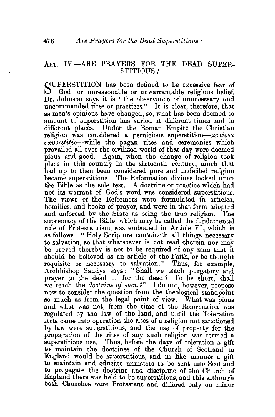## ART. IV.-ARE PRAYERS FOR THE DEAD SUPER-STITIOUS?

SUPERSTITION has been defined to be excessive fear of God, or unreasonable or unwarrantable religious belief. Dr. Johnson says it is "the observance of unnecessary and uncommanded rites or practices." It is clear, therefore, that as men's opinions have changed, so, what has been deemed to amount to superstition has varied at different times and in different places. Under the Roman Empire the Christian religion was considered a pernicious superstition- $ext{exitiosa}$ *superstitio-while* the eagan rites and ceremonies which prevailed all over the civilized world of that day were deemed pious and good. Again, when the change of religion took place in this country in the sixteenth century, much that had up to then been considered pure and undefiled religion became superstitious. The Reformation divines looked upon the Bible as the sole test. A doctrine or practice which had not its warrant of God's word was considered superstitious. The views of the Reformers were formulated in articles, homilies, and books of prayer, and were in that form adopted and enforced by the State as being the true religion. The supremacy of the Bible, which may be called the fundamental rule of Protestantism, was embodied in Article VI., which is as follows: "Holy Scripture containeth all things necessary to salvation, so that whatsoever is not read therein nor may be proved thereby is not to be required of any man that it should be believed as an article of the Faith, or be thought requisite or necessary to salvation." Thus, for example, Archbishop Sandys says : " Shall we teach purgatory and prayer to the dead or for the dead? To be short, shall we teach the *doctrine of men?*" I do not, however, propose now to consider the question from the theological standpoint so much as from the legal point of view. What was pious and what was not, from the time of the Reformation was regulated by the law of the land, and until the Toleration Acts came into operation the rites of a religion not sanctioned by law were superstitious, and the use of property for the propagation of the rites of any such religion was termed a superstitious use. Thus, before the days of toleration a gift to maintain the doctrines of the Church of Scotland in England would be superstitious, and in like manner a gift to maintain and educate ministers to be sent into Scotland to propagate the doctrine and discipline of the Church of England there was held to be superstitious, and this although both Churches were Protestant and differed only on minor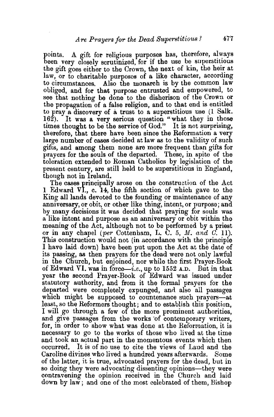points. A gift for religious purposes has, therefore, always been very closely scrutinized, for if the use be superstitious the gift goes either to the Crown, the next of kin, the heir at law, or to charitable purposes of a like character, according to circumstances. Also the monarch is by the common law obliged, and for that purpose entrusted and empowered, to see that nothing be done to the disherison of the Crown or the propagation of a false religion, and to that end is entitled to pray a discovery of a trust to a superstitious use (1 Salk. 162). It was a very serious question "what they in those times thought to be the service of God." It is not surprising, therefore, that there have been since the Reformation a very large number of cases decided at law as to the validity of such gifts, and among them none are more frequent than gifts for prayers for the souls of the departed. These, in spite of the toleration extended to Roman Catholics by legislation of the present century, are still held to be superstitious in England, though not in Ireland.

The cases principally arose on the construction of the Act 1 Edward *VI.,* c. 14, the fifth section of which gave to the King all lands devoted to the founding or maintenance of any anniversary, or obit, or other like thing, intent, or purpose; and by many decisions it was decided that praying for souls was a like intent and purpose as an anniversary or obit within the meaning of the Act, although not to be performed by a priest or in any chapel (per Cottenham, L. U. 5, M. *and 0.* 11). This construction would not (in accordance with the principle I have laid. down) have been put upon the Act at the date of its passing, as then prayers for the dead were not only lawful in the Church, but enjoined, nor while the first Prayer-Book of Edward VI. was in force—i.e., up to 1552 A.D. But in that year the second Prayer-Book of Edward was issued under statutory authority, and from it the formal prayers for the departed were completely expunged, and also all passages which might be supposed to countenance such prayers-at least, so the Reformers thought; and to establish this position, I will go through a few of the more prominent authorities, and give passages from the works of contemporary writers, for, in order to show what was done at the Reformation, it is necessary to go to the works of those who lived at the time and took an actual part in the momentous events which then occurred. It is of no use to cite the views of Laud and the Caroline divines who lived a hundred years afterwards. Some of the latter, it is true, advocated prayers for the dead, but in so doing they were advocating dissenting opinions—they were contravening the opinion received in the Church and laid down by law; and one of the most celebrated of them, Bishop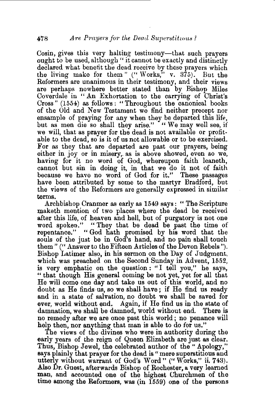Cosin, gives this very halting testimony—that such prayers ought to be used, although" it cannot be exactly and distinctly declared what benefit the dead receive by these prayers which the living make for them " (" Works," v.  $375$ ). But the Reformers are unanimous in their testimony, and their views are perhaps nowhere better stated than by Bishop Miles Coverdale in " An Exhortation to the carrying of Christ's Cross" (1554) as follows: "Throughout the canonical books of the Old and New Testament we find neither precept nor ensample of praying for any when they be departed this life, but as men die so shall they arise." "We may well see, if we will, that as prayer for the dead is not available or profitable to the dead, so is it of us not allowable or to be exercised. For as they that are departed are past our prayers, being either in joy or in misery,. as is above showed, even so we, having for it no word of God, whereupon faith leaneth, cannot but sin in doing it, in that we do it not of faith because we have no word of God for it." These passages have been attributed by some to the martyr Bradford, but the views of the Reformers are generally expressed in similar terms.

Archbishop Cranmer as early as 1549 says: " The Scripture maketh mention of two places where the dead be received after this life, of heaven and hell, but of purgatory is not one word spoken." "They that be dead be past the time of repentance." "God hath promised by his word that the souls of the just be in God's hand, and no pain shall touch them" ("Answer to the Fifteen Articles of the Devon Rebels"). Bishop Latimer also, in his sermon on the Day of Judgment, which was preached on the Second Sunday in Advent, 1552, is very emphatic on the question: "I tell you," he says, " that though His general coming be not yet, yet for all that He will come one day and take us out of this world, and no doubt as He finds-us, so we shall have; if He find us ready and in a state of salvation, no doubt we shall be saved for ever, world without end. Again, if He find us in the state of damnation, we shall be damned, world without end. There is no remedy after we are once past this world; no penance will help then, nor anything that man is able to do for us."

The views of the divines who were in authority during the early years of the reign of Queen Elizabeth are just as clear. Thus, Bishop Jewel, the celebrated author of the" Apology," says plainly that prayer for the dead is "mere superstitious and utterly without warrant of God's Word"(" Works," ii. 743). Also Dr. Guest, afterwards Bishop of Rochester, a very learned man, and accounted one of the highest Churchmen of the time among the Reformers, was (in 1559) one of the persons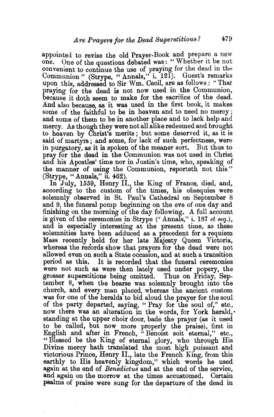appointed to revise the old Prayer-Book and prepare a new one. One of the questions debated was: "Whether it be not convenient to continue the use of praying for the dead in the convenient to continue the use of praying for the dead in the Communion" (Strype, "Annals," i. 121). Guest's remarks upon this, addressed to Sir Wm. Cecil, are as follows : "That praying for the dead is not now used in the Communion, because it doth seem to make for the sacrifice of the dead. And also because, as it was used in the first book, it makes some of the faithful to be in heaven and to need no mercy ; and some of them to be in another place and to lack help and mercy. As though they were not all alike redeemed and brought to heaven by Christ's merits; but some deserved it, as it is said of martyrs ; and some, for lack of such perfectness, were in purgatory, as it is spoken of the meaner sort. But thus to pray for the dead in the Communion was not used in Christ and his Apostles' time nor in Justin's time, who, speaking of the manner of using the Communion, reporteth not this" (Strype, "Annals," il. 462).

In July, 1559, Henry II., the King of France, died, and, according to the custom of the times, his obsequies were solemnly observed in St. Paul's Cathedral on September 8 and 9, the funeral pomp beginning on the eve of one day and finishing on the morning of the day following. A full account is given of the ceremonies in Strype ("Annals," i. 187 *et seq.*), and is especially interesting at the present time, as these solemnities have been adduced as a precedent for a requiem Mass recently held for her late Majesty Queen Victoria, whereas the records show that prayers for the dead were not allowed even on such a State occasion, and at such a transition period as this. It is recorded that the funeral ceremonies were not such as were then lately used under popery, the grosser superstitions being omitted. Thus on Friday, September 8, when the hearse was solemnly brought into the church, and every man placed, whereas the ancient custom was for one of the heralds to bid aloud the prayer for the soul of the party departed, saying, "Pray for the soul of," etc., now there was an alteration in the words, for York herald, standing at the upper choir door, bade the prayer (as it used to be called, but now more properly the praise), first in English and after in French, "Benoist soit eternal," etc., "Blessed be the King of eternal glory, who through His Divine mercy hath translated the most high puissant and victorious Prince, Henry II., late the French King, from this earthly to His heavenly kingdom," which words he used again at the end of *Benedictus* and at the end of the service, and again on the morrow at the times accustomed. Certain psalms of praise were sung for the departure of the dead in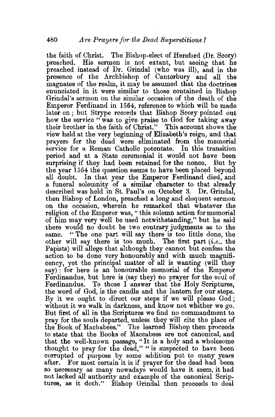the faith of Christ. The Bishop-elect of Hereford (Dr. Scory) preached. His sermon is not extant, but seeing that he preached instead of Dr. Grindal (who was ill), and in the presence of the Archbishop of Canterbury and all the magnates of the realm, it may be assumed that the doctrines enunciated in it were similar to those contained in Bishop Grindal's sermon on the similar occasion of the death of the Emperor Ferdinand in l 564, reference to which will be made later on; but Strype records that Bishop Scory pointed out how the service "was to give praise to God for taking away their brother in the faith of Christ." This account shows the view held at the very beginning of Elizabeth's reign, and that prayers for the dead were eliminated from the memorial service for a Roman Catholic potentate. In this transition period and at a State ceremonial it would not have been surprising if they had been retained for the nonce. But by the year 1564 the question seems to have been placed beyond all doubt. In that year the Emperor Ferdinand died, and a funeral solemnity of a similar character to that already described was held in St. Paul's on October 3. Dr. Grindal, then Bishop of London, preached a long and eloquent sermon on the occasion, wherein he remarked that whatever the religion of the Emperor was, " this solemn action for memorial of him may very well be used notwithstanding," but he said there would no doubt be two contrary judgments as to the same. "The one part will say there is too little done, the other will say there is too much. The first part *(i.e.,* the Papists) will allege that although they cannot but confess the action to be done very honourably and with much magnificency, yet the principal matter of all is wanting (will they  $\text{say}$ ): for here is an honourable memorial of the Emperor Ferdinandus, but here is (say they) no prayer for the soul of Ferdinandus. To those I answer that the Holy Scriptures, the word of God, is the candle and the lantern for our steps. By it we ought to direct our steps if we will please  $God$ ; without it we walk in darkness, and know not whither we go. But first of all in the Scriptures we find no commandment to pray for the souls departed, unless they will cite the place of the Book of Machabees." The learned Bishop then proceeds to state that the Books of Maccabees are not canonical, and that the well.known passage, "It is a holy and a wholesome thought to pray for the dead," "is suspected to have been corrupted of purpose by some addition put to many years after. For most certain it is if prayer for the dead had been so necessary as many nowadays would have it seem, it had not lacked all authority and example of the canonical Scriptures, as it doth." Bishop Grindal then proceeds to deal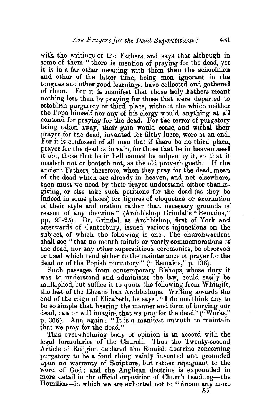with the writings of the Fathers, and says that although in some of them " there is mention of praying for the dead, yet it is in a far other meaning with them than the schoolmen and other of the latter time, being men ignorant in the tongues and other good learnings, have collected and gathered of them. For it is manifest that those holy Fathers meant nothing less than by praying for those that were departed to establish purgatory or third place, without the which neither the Pope himself nor any of his clergy would anything at all contend for praying for the dead. For the terror of purgatory being taken away, their gain would cease, and withal their prayer for the dead, invented for filthy lucre, were at an end. For it is confessed of all men that if there be no third place, prayer for the dead is in vain, for those that be in heaven need it not, those that be in hell cannot be holpen by it, so that it needeth not or booteth not, as the old proverb goeth. If the ancient Fathers, therefore, when they pray for the dead, mean of the dead which are already in heaven, and not elsewhere, then must we need by their prayer understand either thanksgiving, or else take such petitions for the dead (as they be Indeed in some places) for figures of eloquence or exornation of their style and oration rather than necessary grounds of reason of any doctrine" (Archbishop Grindal's ''Remains," pp. 23-25). Dr. Grindal, as Archbishop, first of York and afterwards of Canterbury, issued various injunctions on the subject, of which the following is one: The churchwardens shall see " that no month minds or yearly commemorations of the dead, nor any other superstitious ceremonies, be observed or used which tend either to the maintenance of prayer for the dead or of the Popish purgatory" ("Remains," p. 136).

Such passages from contemporary Bishops, whose duty it was to understand and administer the law, could easily be multiplied, but suffice it to quote the following from Whitgift, the last of the Elizabethan Archbishops. Writing towards the end of the reign of Elizabeth, he says : " I do not think any to be so simple that, hearing the manner and form of burying our dead, can or will imagine that we pray for the dead" ("Works," p. 366). And, again ; " It is a manifest untruth to maintain that we pray for the dead."

This overwhelming body of opinion is in accord with the legal formularies of the Church. Thus the Twenty-second Article of Religion declared the Romish doctrine concerning purgatory to be a fond thing vainly invented and grounded upon no warranty of Scripture, but rather repugnant to the word of God; and the Anglican doctrine is expounded in more detail in the official exposition of Church teaching—the Homilies-in which we are exhorted not to "dream any more

35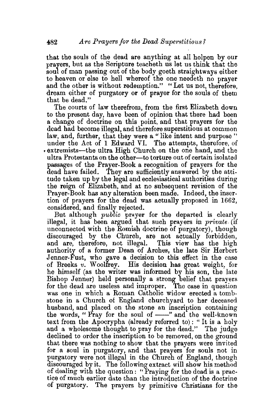that the souls of the dead are anything at all holpen by our prayers, but as the Scripture teaoheth us let us think that the soul of man passing out of the body goeth straightways either to heaven or else to hell whereof the one needeth no prayer and the other is without redemption." "Let us not, therefore, dream either of purgatory or of prayer for the souls of them that be dead."

The courts of law therefrom, from the first Elizabeth down to the present day, have been of opinion that there had been a change of doctrine on this point, and that prayers for the dead bad become illegal, and therefore superstitious at common law, and, further, that they were a "like intent and purpose" under the Act of 1 Edward VI. The attempts, therefore, of under the Act of 1 Edward VI. • extremists-the ultra High Church on the one hand, and the ultra Protestants on the other-to torture out of certain isolated passages of the Prayer-Book a recognition of prayers for the dead have failed. They are sufficiently answered by the attitude taken up by the legal and ecclesiastical authorities during the reign of Ehzabetb, and at no subsequent revision of the Prayer-Book has any alteration been made. Indeed, the insertion of prayers for the dead was actually proposed in 1662, considered, and finally rejected.

But although *public* prayer for the departed is clearly illegal, it bas been argued that such prayers in *private.* (if unconnected with the Romisb doctrine of purgatory), though discouraged by the Church, are not actually forbidden, and are, therefore, not illegal. This view has the high and are, therefore, not illegal. authority of a former Dean of Arches, the late Sir Herbert Jenner-Fust, who gave a decision to this effect in the case of Breeks *v.* Woolfrey. His decision has great weight, for be himself (as the writer was informed by his son, the late Bishop Jenner) held personally a strong belief that prayers for the dead are useless and improper. The case in question was one in which a Roman Catholic widow erected a tombstone in a Church of England churchyard to her deceased husband, and placed on the stone an inscription containing the words, " Pray for the soul of  $\frac{1}{\sqrt{2}}$  and the well-known text from the Apocrypha (already referred to): " It is a holy and a wholesome thought to pray for the dead." The judge declined to order the inscription to be removed, on the ground that there was nothing to show that the prayers were invited for a soul in purgatory, and that prayers for souls not in purgatory were not illegal in the Church of England, though discouraged by it. The following extract will show his method of dealing with the question: "Praying for the dead is a practice of much earlier date than the introduction of the doctrine of purgatory. The prayers by primitive Christians for the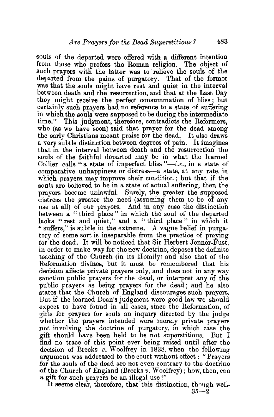souls of the departed were offered with a different intention from those who profess the Roman religion. The object of such prayers with the latter was to relieve the souls of the departed from the pains of purgatory. That of the former was that the souls might have rest and quiet in the interval between death and the resurrection, and that at the Last Day they might receive the perfect consummation of bliss; but certainly such prayers had no reference to a state of suffering in which the souls were supposed to be during the intermediate time." This judgment, therefore, contradicts the Reformers. This judgment, therefore, contradicts the Reformers, who (as we have seen) said that prayer for the dead among the early Christians meant praise for the dead. It also draws a very subtle distinction between degrees of pain. It imagines that in the interval between death and the resurrection the souls of the faithful departed may be in what the learned Collier calls "a state of imperfect bliss  $"-i.e.,$  in a state of comparative unhappiness or distress-a state, at any rate, in which prayers. may improve their condition; but that if the souls are believed to be in a state of actual suffering, then the prayers become unlawful. Surely, the greater the supposed distress the greater the need (assuming them to be of any use at all) of our prayers. And in any case the distinction between a " third place" in which the soul of the departed lacks "rest and quiet," and a "third place" in which it "suffers," is subtle in the extreme. A vague belief in purgatory of some sort is inseparable from the practice of praying for the dead. It will be noticed that Sir Herbert Jenner-Fust, in order to make way for the new doctrine, deposes the definite teaching of the Church (in its Homily) and also that of the Reformation divines, but it must be remembered that his decision affects private prayers only, and does not in any way sanction public prayers for the dead, or interpret any of the public prayers as being prayers for the dead; and he also states that the Church of England discourages such prayers. But if the learned Dean's judgment were good law we should expect to have found in all cases, since the Reformation, of gifts for prayers for souls au inquiry directed by the judge whether the prayers intended were merely private prayers not involving the doctrine of purgatory, in which case the gift should have been held to be not superstitious. But I find no trace of this point ever being raised until after the decision of Breeks *v*. Woolfrey in 1838, when the following argument was addressed to the court without effect : "Prayers for the souls of the dead are not even contrary to the doctrine of the Church of England (Breeks *v*. Woolfrey); how, then, can a gift for such prayers be an illegal use?"

It seems clear, therefore, that this distinction, though well- $35-2$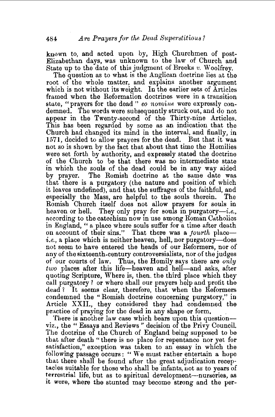known to, and acted upon by, High Churchmen of post-Elizabethan days, was unknown to the law of Church and State up to the date of this judgment of Breeks *v.* W oolfrey.

The question as to what is the Anglican doctrine lies at the root of the whole matter, and explains another argument which is not without its weight. In the earlier sets of Articles framed when the Reformation doctrines were in a transition state, "prayers for the dead " *eo nomine* were expressly condemned. The words were subsequently struck out, and do not appear in the Twenty-second of the Thirty-nine Articles. This has been regarded by some as an indication that the Church had changed its mind in the interval, and finally, in 1571, decided to allow prayers for the dead. But that it was not so is shown by the fact that about that time the Homilies were set forth by authority, and expressly stated the doctrine of the Church to be that there was no intermediate state in which the souls of the dead could be in any way aided by prayer. The Romish doctrine at the same date was that there is a purgatory (the nature and position of which it leaves undefined), and that the suffrages of the faithful, and especially the Mass, are helpful to the souls therein. The Romish Church itself does not allow prayers for souls in heaven or hell. They only pray for souls in purgatory-i.e., according to the catechism now in use among Roman Catholics in England, " a place where souls suffer for a time after death on account of their sins." That there was a *fourth* place $i.e.,$  a place which is neither heaven, hell, nor purgatory—does not seem to have entered the heads of our Reformers, nor of any of the sixteenth-century controversialists, nor of the judges of our courts of law. Thus, the Homily says there are *only two* places after this life-heaven and hell-and asks, after quoting Scripture, Where is, then. the third place which they call purgatory? or where shall our prayers help and profit the dead ? It seems clear, therefore, that when the Reformers condemned the '' Romish doctrine concerning purgatory," in Article XXII., they considered they had condemned the practice of praying for the dead in any shape or form.

There is another law case which bears upon this questionviz., the "Essays and Reviews" decision of the Privy Council. The doctrine of the Church of England being supposed to be that after death "there is no place for repentance nor yet for satisfaction," exception was taken to an essay in which the following passage occurs: " We must rather entertain a hope thac there shall be found after the great adjudication receptacles suitable for those who shall be infants, not as to years of terrestrial life, but as to spiritual development-nurseries, as it were, where the stunted may become strong and the per